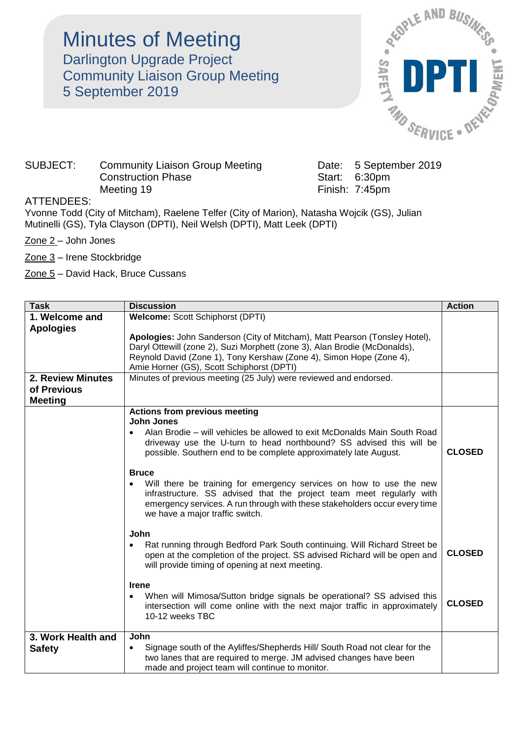Minutes of Meeting Darlington Upgrade Project Community Liaison Group Meeting 5 September 2019



## SUBJECT: Community Liaison Group Meeting Date: 5 September 2019 Construction Phase Start: 6:30pm Meeting 19 Finish: 7:45pm

## ATTENDEES:

Yvonne Todd (City of Mitcham), Raelene Telfer (City of Marion), Natasha Wojcik (GS), Julian Mutinelli (GS), Tyla Clayson (DPTI), Neil Welsh (DPTI), Matt Leek (DPTI)

Zone 2 – John Jones

Zone 3 – Irene Stockbridge

Zone 5 – David Hack, Bruce Cussans

| <b>Task</b>              | <b>Discussion</b>                                                                                                                                  | <b>Action</b> |  |  |
|--------------------------|----------------------------------------------------------------------------------------------------------------------------------------------------|---------------|--|--|
| 1. Welcome and           | Welcome: Scott Schiphorst (DPTI)                                                                                                                   |               |  |  |
| <b>Apologies</b>         |                                                                                                                                                    |               |  |  |
|                          | Apologies: John Sanderson (City of Mitcham), Matt Pearson (Tonsley Hotel),                                                                         |               |  |  |
|                          | Daryl Ottewill (zone 2), Suzi Morphett (zone 3), Alan Brodie (McDonalds),                                                                          |               |  |  |
|                          | Reynold David (Zone 1), Tony Kershaw (Zone 4), Simon Hope (Zone 4),                                                                                |               |  |  |
|                          | Amie Horner (GS), Scott Schiphorst (DPTI)                                                                                                          |               |  |  |
| <b>2. Review Minutes</b> | Minutes of previous meeting (25 July) were reviewed and endorsed.                                                                                  |               |  |  |
| of Previous              |                                                                                                                                                    |               |  |  |
| <b>Meeting</b>           |                                                                                                                                                    |               |  |  |
|                          | <b>Actions from previous meeting</b>                                                                                                               |               |  |  |
|                          | <b>John Jones</b>                                                                                                                                  |               |  |  |
|                          | Alan Brodie – will vehicles be allowed to exit McDonalds Main South Road                                                                           |               |  |  |
|                          | driveway use the U-turn to head northbound? SS advised this will be                                                                                |               |  |  |
|                          | possible. Southern end to be complete approximately late August.                                                                                   | <b>CLOSED</b> |  |  |
|                          |                                                                                                                                                    |               |  |  |
|                          | <b>Bruce</b>                                                                                                                                       |               |  |  |
|                          | Will there be training for emergency services on how to use the new                                                                                |               |  |  |
|                          | infrastructure. SS advised that the project team meet regularly with<br>emergency services. A run through with these stakeholders occur every time |               |  |  |
|                          | we have a major traffic switch.                                                                                                                    |               |  |  |
|                          |                                                                                                                                                    |               |  |  |
|                          | John                                                                                                                                               |               |  |  |
|                          | Rat running through Bedford Park South continuing. Will Richard Street be                                                                          |               |  |  |
|                          | open at the completion of the project. SS advised Richard will be open and                                                                         | <b>CLOSED</b> |  |  |
|                          | will provide timing of opening at next meeting.                                                                                                    |               |  |  |
|                          |                                                                                                                                                    |               |  |  |
|                          | <b>Irene</b>                                                                                                                                       |               |  |  |
|                          | When will Mimosa/Sutton bridge signals be operational? SS advised this                                                                             | <b>CLOSED</b> |  |  |
|                          | intersection will come online with the next major traffic in approximately                                                                         |               |  |  |
|                          | 10-12 weeks TBC                                                                                                                                    |               |  |  |
| 3. Work Health and       | John                                                                                                                                               |               |  |  |
| <b>Safety</b>            | Signage south of the Ayliffes/Shepherds Hill/ South Road not clear for the<br>$\bullet$                                                            |               |  |  |
|                          | two lanes that are required to merge. JM advised changes have been                                                                                 |               |  |  |
|                          | made and project team will continue to monitor.                                                                                                    |               |  |  |
|                          |                                                                                                                                                    |               |  |  |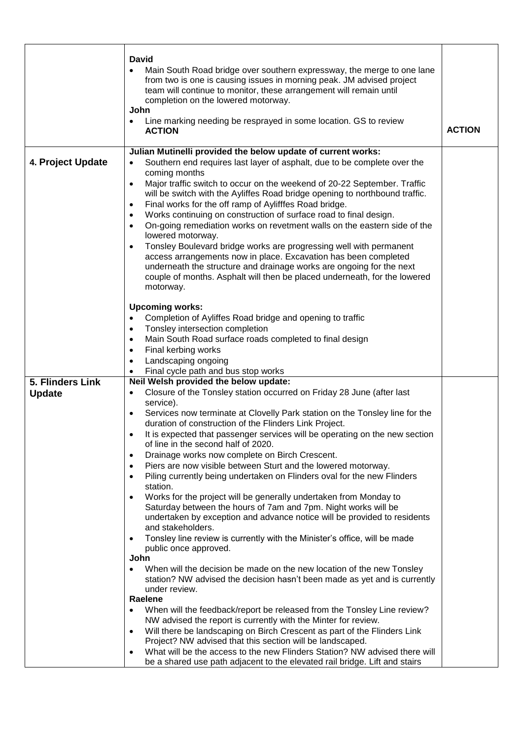|                   | <b>David</b><br>Main South Road bridge over southern expressway, the merge to one lane<br>from two is one is causing issues in morning peak. JM advised project<br>team will continue to monitor, these arrangement will remain until<br>completion on the lowered motorway.<br>John<br>Line marking needing be resprayed in some location. GS to review<br><b>ACTION</b>                                                                                                                                                                                                                                                                                                                                                                                                                                                                                                                                                                                                                                                                                                                                                                                                                                                                                                                                                                                                                                                                                                                                                                                                                                                                                     | <b>ACTION</b> |
|-------------------|---------------------------------------------------------------------------------------------------------------------------------------------------------------------------------------------------------------------------------------------------------------------------------------------------------------------------------------------------------------------------------------------------------------------------------------------------------------------------------------------------------------------------------------------------------------------------------------------------------------------------------------------------------------------------------------------------------------------------------------------------------------------------------------------------------------------------------------------------------------------------------------------------------------------------------------------------------------------------------------------------------------------------------------------------------------------------------------------------------------------------------------------------------------------------------------------------------------------------------------------------------------------------------------------------------------------------------------------------------------------------------------------------------------------------------------------------------------------------------------------------------------------------------------------------------------------------------------------------------------------------------------------------------------|---------------|
|                   |                                                                                                                                                                                                                                                                                                                                                                                                                                                                                                                                                                                                                                                                                                                                                                                                                                                                                                                                                                                                                                                                                                                                                                                                                                                                                                                                                                                                                                                                                                                                                                                                                                                               |               |
| 4. Project Update | Julian Mutinelli provided the below update of current works:<br>Southern end requires last layer of asphalt, due to be complete over the<br>$\bullet$<br>coming months<br>Major traffic switch to occur on the weekend of 20-22 September. Traffic<br>$\bullet$<br>will be switch with the Ayliffes Road bridge opening to northbound traffic.<br>Final works for the off ramp of Aylifffes Road bridge.<br>$\bullet$<br>Works continuing on construction of surface road to final design.<br>On-going remediation works on revetment walls on the eastern side of the<br>lowered motorway.<br>Tonsley Boulevard bridge works are progressing well with permanent<br>access arrangements now in place. Excavation has been completed<br>underneath the structure and drainage works are ongoing for the next<br>couple of months. Asphalt will then be placed underneath, for the lowered<br>motorway.                                                                                                                                                                                                                                                                                                                                                                                                                                                                                                                                                                                                                                                                                                                                                        |               |
|                   | <b>Upcoming works:</b><br>Completion of Ayliffes Road bridge and opening to traffic<br>$\bullet$<br>Tonsley intersection completion<br>$\bullet$<br>Main South Road surface roads completed to final design<br>$\bullet$<br>Final kerbing works<br>$\bullet$<br>Landscaping ongoing<br>$\bullet$<br>Final cycle path and bus stop works<br>$\bullet$                                                                                                                                                                                                                                                                                                                                                                                                                                                                                                                                                                                                                                                                                                                                                                                                                                                                                                                                                                                                                                                                                                                                                                                                                                                                                                          |               |
| 5. Flinders Link  | Neil Welsh provided the below update:                                                                                                                                                                                                                                                                                                                                                                                                                                                                                                                                                                                                                                                                                                                                                                                                                                                                                                                                                                                                                                                                                                                                                                                                                                                                                                                                                                                                                                                                                                                                                                                                                         |               |
| <b>Update</b>     | Closure of the Tonsley station occurred on Friday 28 June (after last<br>$\bullet$<br>service).<br>Services now terminate at Clovelly Park station on the Tonsley line for the<br>$\bullet$<br>duration of construction of the Flinders Link Project.<br>It is expected that passenger services will be operating on the new section<br>$\bullet$<br>of line in the second half of 2020.<br>Drainage works now complete on Birch Crescent.<br>$\bullet$<br>Piers are now visible between Sturt and the lowered motorway.<br>$\bullet$<br>Piling currently being undertaken on Flinders oval for the new Flinders<br>$\bullet$<br>station.<br>Works for the project will be generally undertaken from Monday to<br>Saturday between the hours of 7am and 7pm. Night works will be<br>undertaken by exception and advance notice will be provided to residents<br>and stakeholders.<br>Tonsley line review is currently with the Minister's office, will be made<br>$\bullet$<br>public once approved.<br>John<br>When will the decision be made on the new location of the new Tonsley<br>station? NW advised the decision hasn't been made as yet and is currently<br>under review.<br>Raelene<br>When will the feedback/report be released from the Tonsley Line review?<br>NW advised the report is currently with the Minter for review.<br>Will there be landscaping on Birch Crescent as part of the Flinders Link<br>$\bullet$<br>Project? NW advised that this section will be landscaped.<br>What will be the access to the new Flinders Station? NW advised there will<br>be a shared use path adjacent to the elevated rail bridge. Lift and stairs |               |